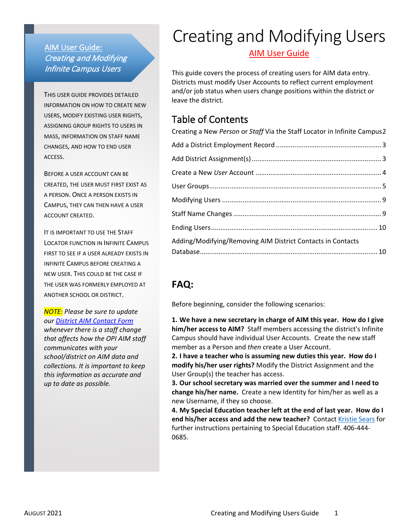# AIM User Guide: Creating and Modifying Infinite Campus Users

THIS USER GUIDE PROVIDES DETAILED INFORMATION ON HOW TO CREATE NEW USERS, MODIFY EXISTING USER RIGHTS, ASSIGNING GROUP RIGHTS TO USERS IN MASS, INFORMATION ON STAFF NAME CHANGES, AND HOW TO END USER ACCESS.

BEFORE A USER ACCOUNT CAN BE CREATED, THE USER MUST FIRST EXIST AS A PERSON. ONCE A PERSON EXISTS IN CAMPUS, THEY CAN THEN HAVE A USER ACCOUNT CREATED.

IT IS IMPORTANT TO USE THE STAFF LOCATOR FUNCTION IN INFINITE CAMPUS FIRST TO SEE IF A USER ALREADY EXISTS IN INFINITE CAMPUS BEFORE CREATING A NEW USER. THIS COULD BE THE CASE IF THE USER WAS FORMERLY EMPLOYED AT ANOTHER SCHOOL OR DISTRICT.

*NOTE: Please be sure to update our [District AIM Contact Form](http://opi.mt.gov/Leadership/Data-Reporting/AIM-Achievement-in-Montana/District-AIM-Contact-Update) whenever there is a staff change that affects how the OPI AIM staff communicates with your school/district on AIM data and collections. It is important to keep this information as accurate and up to date as possible.*

# Creating and Modifying Users

AIM User Guide

This guide covers the process of creating users for AIM data entry. Districts must modify User Accounts to reflect current employment and/or job status when users change positions within the district or leave the district.

# Table of Contents

| Creating a New Person or Staff Via the Staff Locator in Infinite Campus2 |  |
|--------------------------------------------------------------------------|--|
|                                                                          |  |
|                                                                          |  |
|                                                                          |  |
|                                                                          |  |
|                                                                          |  |
|                                                                          |  |
|                                                                          |  |
| Adding/Modifying/Removing AIM District Contacts in Contacts              |  |
|                                                                          |  |

# **FAQ:**

Before beginning, consider the following scenarios:

**1. We have a new secretary in charge of AIM this year. How do I give him/her access to AIM?** Staff members accessing the district's Infinite Campus should have individual User Accounts. Create the new staff member as a Person and *then* create a User Account.

**2. I have a teacher who is assuming new duties this year. How do I modify his/her user rights?** Modify the District Assignment and the User Group(s) the teacher has access.

**3. Our school secretary was married over the summer and I need to change his/her name.** Create a new Identity for him/her as well as a new Username, if they so choose.

**4. My Special Education teacher left at the end of last year. How do I end his/her access and add the new teacher?** Contact [Kristie Sears](mailto:kristie.sears@mt.gov) for further instructions pertaining to Special Education staff. 406-444- 0685.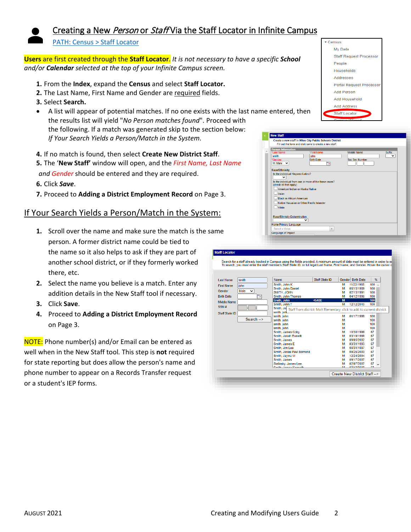

# <span id="page-1-0"></span>Creating a New Person or Staff Via the Staff Locator in Infinite Campus

#### [PATH: Census > Staff Locator](https://content.infinitecampus.com/sis/Campus.1933/documentation/staff-locator/)

**Users** are first created through the **Staff Locator**. *It is not necessary to have a specific School and/or Calendar selected at the top of your Infinite Campus screen.*

- **1.** From the **Index**, expand the **Census** and select **Staff Locator.**
- **2.** The Last Name, First Name and Gender are required fields.
- **3.** Select **Search.**
- A list will appear of potential matches. If no one exists with the last name entered, then the results list will yield "*No Person matches found*". Proceed with the following. If a match was generated skip to the section below: *If Your Search Yields a Person/Match in the System.*
- **4.** If no match is found, then select **Create New District Staff**.

**5.** The '**New Staff'** window will open, and the *First Name, Last Name and Gender* should be entered and they are required.

- **6.** Click *Save*.
- **7.** Proceed to **Adding a District Employment Record** on Page 3.

# If Your Search Yields a Person/Match in the System:

- **1.** Scroll over the name and make sure the match is the same person. A former district name could be tied to the name so it also helps to ask if they are part of another school district, or if they formerly worked there, etc.
- **2.** Select the name you believe is a match. Enter any addition details in the New Staff tool if necessary.
- **3.** Click **Save**.
- **4.** Proceed to **Adding a District Employment Record** on Page 3.

NOTE: Phone number(s) and/or Email can be entered as well when in the New Staff tool*.* This step is **not** required for state reporting but does allow the person's name and phone number to appear on a Records Transfer request or a student's IEP forms.

|                           | <b>New Staff</b>                          |                                                                                                                     |                    |        |
|---------------------------|-------------------------------------------|---------------------------------------------------------------------------------------------------------------------|--------------------|--------|
|                           |                                           | Create a new staff in Miles City Public Schools District<br>Fill out the form and click save to create a new staff. |                    |        |
| <b>Person Information</b> |                                           |                                                                                                                     |                    |        |
| *Last Name<br>smith       |                                           | *First Name<br>iohn                                                                                                 | <b>Middle Name</b> | Suffix |
| *Gender<br>M: Male $\vee$ |                                           | <b>Birth Date</b><br>−∝                                                                                             | Soc Sec Number     |        |
| <b>Race/Ethnicity</b>     |                                           |                                                                                                                     |                    |        |
|                           | Is the individual Hispanic/Latino?        |                                                                                                                     |                    |        |
| $\checkmark$              |                                           |                                                                                                                     |                    |        |
|                           | (check all that apply)                    | Is the individual from one or more of the these races?                                                              |                    |        |
| <b>Asian</b>              | American Indian or Alaska Native          |                                                                                                                     |                    |        |
|                           | <b>Black or African American</b>          |                                                                                                                     |                    |        |
|                           | Native Hawaiian or Other Pacific Islander |                                                                                                                     |                    |        |
| <b>White</b>              |                                           |                                                                                                                     |                    |        |
|                           |                                           |                                                                                                                     |                    |        |
|                           | Race/Ethnicity Determination<br>◡         |                                                                                                                     |                    |        |
|                           |                                           |                                                                                                                     |                    |        |
|                           | <b>Home Primary Language</b>              |                                                                                                                     |                    |        |

Census My Data

> People Households Addresses

**Add Person** Add Household **Add Address** Staff Locator

Staff Request Processor

Portal Request Processor

| <b>Last Name</b>  | smith                | Name                     | Staff State ID                                                          |   | Gender Birth Date | %       |  |
|-------------------|----------------------|--------------------------|-------------------------------------------------------------------------|---|-------------------|---------|--|
| <b>First Name</b> | <b>john</b>          | Smith, John K            |                                                                         | м | 11/22/1988        | $100 -$ |  |
|                   |                      | Smith, John Daniel       |                                                                         | М | 06/15/1989        | 100     |  |
| Gender            | Male<br>$\checkmark$ | SMITH, JOHN              |                                                                         | м | 02/15/1991        | 100     |  |
| <b>Birth Date</b> | ×                    | Smith, John Thomas       |                                                                         | М | 04/12/1996        | 100     |  |
| Middle Name       |                      | Smith, John              | 45400                                                                   | M |                   | 100     |  |
|                   |                      | Smith, John T            |                                                                         | м | 12/12/2010        | 100     |  |
| SSN#              |                      | Smith, Jol               | Staff from district: Molt Elementary, click to add to current district. |   |                   |         |  |
| Staff State ID    |                      | smith, joh               |                                                                         |   |                   |         |  |
|                   |                      | smith, john              |                                                                         | м | 01/17/1999        | 100     |  |
|                   | Search $\rightarrow$ | smith, john              |                                                                         | М |                   | 100     |  |
|                   |                      | smith, john              |                                                                         | М |                   | 100     |  |
|                   |                      | smith, john              |                                                                         | М |                   | 100     |  |
|                   |                      | Smith, James Coby        |                                                                         | м | 10/30/1999        | 67      |  |
|                   |                      | Smith, Jonah Everett     |                                                                         | м | 03/19/1999        | 67      |  |
|                   |                      | Smith, James             |                                                                         | м | 09/05/2002        | 67      |  |
|                   |                      | Smith, James E.          |                                                                         | м | 03/31/1993        | 67      |  |
|                   |                      | Smith, Jim Lee           |                                                                         | м | 08/31/1997        | 67      |  |
|                   |                      | Smith, Jonas Paul Edmond |                                                                         | м | 09/26/2003        | 67      |  |
|                   |                      | Smith, Jaymz W           |                                                                         | м | 12/24/2004        | 67      |  |
|                   |                      | Smith, James             |                                                                         | M | 09/17/2007        | 67      |  |
|                   |                      | Sielinsky, James Lee     |                                                                         | м | 02/07/2007        | 67      |  |
|                   |                      | Contile Incornel Commodi |                                                                         |   | <b>ARIAR MAAR</b> | o z     |  |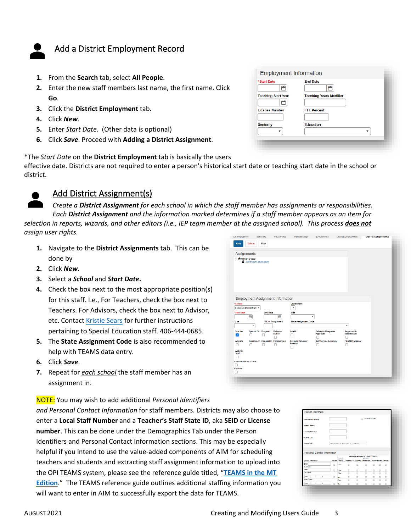# <span id="page-2-0"></span>Add a District Employment Record

- **1.** From the **Search** tab, select **All People**.
- **2.** Enter the new staff members last name, the first name. Click **Go**.
- **3.** Click the **District Employment** tab.
- **4.** Click *New*.
- **5.** Enter *Start Date*. (Other data is optional)
- **6.** Click *Save*. Proceed with **Adding a District Assignment**.

\*The *Start Date* on the **District Employment** tab is basically the users

effective date. Districts are not required to enter a person's historical start date or teaching start date in the school or district.



# <span id="page-2-1"></span>Add District Assignment(s)

*Create a District Assignment for each school in which the staff member has assignments or responsibilities. Each District Assignment and the information marked determines if a staff member appears as an item for selection in reports, wizards, and other editors (i.e., IEP team member at the assigned school). This process does not*

*assign user rights.*

- **1.** Navigate to the **District Assignments** tab. This can be done by
- **2.** Click *New*.
- **3.** Select a *School* and *Start Date***.**
- **4.** Check the box next to the most appropriate position(s) for this staff. I.e., For Teachers, check the box next to Teachers. For Advisors, check the box next to Advisor, etc. Contact [Kristie Sears](mailto:kristie.sears@mt.gov) for further instructions pertaining to Special Education staff. 406-444-0685.
- **5.** The **State Assignment Code** is also recommended to help with TEAMS data entry.
- **6.** Click *Save*.
- **7.** Repeat for *each school* the staff member has an assignment in.

#### NOTE: You may wish to add additional *Personal Identifiers*

*and Personal Contact Information* for staff members. Districts may also choose to enter a **Local Staff Number** and a **Teacher's Staff State ID**, aka **SEID** or **License number**. This can be done under the Demographics Tab under the Person Identifiers and Personal Contact Information sections. This may be especially helpful if you intend to use the value-added components of AIM for scheduling teachers and students and extracting staff assignment information to upload into the OPI TEAMS system, please see the reference guide titled, "**[TEAMS in the MT](https://opi.mt.gov/Portals/182/Page%20Files/AIM/2%20AIM%20USER%20GUIDES/User%20Guides%20by%20Topic/Montana%20Edition%20Value%20Added/TEAMS%20in%20the%20MT%20Edition.pdf)  [Edition](https://opi.mt.gov/Portals/182/Page%20Files/AIM/2%20AIM%20USER%20GUIDES/User%20Guides%20by%20Topic/Montana%20Edition%20Value%20Added/TEAMS%20in%20the%20MT%20Edition.pdf)**." The TEAMS reference guide outlines additional staffing information you will want to enter in AIM to successfully export the data for TEAMS.

| <b>Teaching Start Year</b><br><b>Teaching Years Modifier</b><br><b>License Number</b><br><b>FTE Percent</b> |  |
|-------------------------------------------------------------------------------------------------------------|--|
|                                                                                                             |  |
|                                                                                                             |  |
| <b>Education</b><br><b>Seniority</b>                                                                        |  |

| Demographics                             |                           | roemuues        | <b>HOUSEHOIUS</b>                | renationships                       | <b>Emoliments</b>                    | District Employment                | <b>DIStrict Assignments</b> |
|------------------------------------------|---------------------------|-----------------|----------------------------------|-------------------------------------|--------------------------------------|------------------------------------|-----------------------------|
| <b>Delete</b><br>Save                    |                           | <b>New</b>      |                                  |                                     |                                      |                                    |                             |
|                                          |                           |                 |                                  |                                     |                                      |                                    |                             |
| <b>Assignments</b>                       |                           |                 |                                  |                                     |                                      |                                    |                             |
| <b>A</b> Garfield School                 |                           |                 |                                  |                                     |                                      |                                    |                             |
| $-\frac{6}{1}$ - (07/01/2019-06/30/2020) |                           |                 |                                  |                                     |                                      |                                    |                             |
|                                          |                           |                 |                                  |                                     |                                      |                                    |                             |
|                                          |                           |                 |                                  |                                     |                                      |                                    |                             |
|                                          |                           |                 |                                  |                                     |                                      |                                    |                             |
|                                          |                           |                 |                                  |                                     |                                      |                                    |                             |
|                                          |                           |                 |                                  |                                     |                                      |                                    |                             |
|                                          |                           |                 |                                  |                                     |                                      |                                    |                             |
|                                          |                           |                 |                                  |                                     |                                      |                                    |                             |
| <b>Employment Assignment Information</b> |                           |                 |                                  |                                     |                                      |                                    |                             |
| *School                                  |                           |                 |                                  | Department                          |                                      |                                    |                             |
| Custer Co District High v                |                           |                 |                                  | $\mathbf{v}$                        |                                      |                                    |                             |
| *Start Date<br>ä                         |                           | <b>End Date</b> | ä                                | Title<br>۰                          |                                      |                                    |                             |
|                                          |                           |                 |                                  |                                     |                                      |                                    |                             |
| Type                                     | $\boldsymbol{\mathrm{v}}$ |                 | <b>FTE of Assignment</b>         | <b>State Assignment Code</b>        |                                      | $\boldsymbol{\mathrm{v}}$          |                             |
|                                          |                           |                 |                                  |                                     |                                      |                                    |                             |
| <b>Teacher</b><br>び<br>n                 | Special Ed Program        |                 | Behavior<br>Admin                | Health<br>п                         | <b>Behavior Response</b><br>Approver | <b>Response to</b><br>Intervention |                             |
|                                          |                           |                 |                                  |                                     |                                      | п                                  |                             |
| <b>Advisor</b><br>n<br>г.                |                           |                 | Supervisor Counselor Foodservice | <b>Exclude Behavior</b><br>Referral | <b>Self Service Approver</b>         | <b>FRAM Processor</b>              |                             |
|                                          |                           |                 |                                  |                                     |                                      |                                    |                             |
| <b>Activity</b><br><b>Staff</b>          |                           |                 |                                  |                                     |                                      |                                    |                             |
|                                          |                           |                 |                                  |                                     |                                      |                                    |                             |
| <b>External LMS Exclude</b>              |                           |                 |                                  |                                     |                                      |                                    |                             |
| Ω                                        |                           |                 |                                  |                                     |                                      |                                    |                             |
| <b>Exclude</b>                           |                           |                 |                                  |                                     |                                      |                                    |                             |
|                                          |                           |                 |                                  |                                     |                                      |                                    |                             |
|                                          |                           |                 |                                  |                                     |                                      |                                    |                             |
|                                          |                           |                 |                                  |                                     |                                      |                                    |                             |

| <b>Local Student Number</b>                                      |   |                                   |                                                         |                                              | Generate Number<br>自 |   |   |        |
|------------------------------------------------------------------|---|-----------------------------------|---------------------------------------------------------|----------------------------------------------|----------------------|---|---|--------|
| Shadent State ID                                                 |   |                                   |                                                         |                                              |                      |   |   |        |
| <b>Local Staff Number</b>                                        |   |                                   |                                                         |                                              |                      |   |   |        |
| Staff State ID                                                   |   |                                   |                                                         |                                              |                      |   |   |        |
|                                                                  |   |                                   |                                                         |                                              |                      |   |   |        |
| Person GUID<br>Personal Contact Information                      |   |                                   | ADJCMAT ES3D 4903 A102 12EEE32EE11C                     | <b>Measurger Preferences Contact Reasons</b> |                      |   |   |        |
|                                                                  |   | Delivery<br><b>Private Device</b> | Emergency Attendance Messenger General Priority Teacher |                                              | Behavior             |   |   |        |
|                                                                  | m | Erral                             | π                                                       | m                                            | n                    | A | m | ≘      |
| Contact Information<br><b>Erss E</b><br>Secondary<br><b>DOM:</b> | m | Ferall                            | п                                                       | m                                            | n                    |   | m |        |
|                                                                  |   | Value                             | $\Box$                                                  | m                                            | ⋒                    | m | m | Ξ<br>₿ |
| Cell Phone:<br>405                                               |   | ъđ                                | π                                                       | A                                            | n                    |   | m | Θ      |
| Other Phone:                                                     |   | Value                             | 日                                                       | 自                                            | 6                    | m | m | ₿      |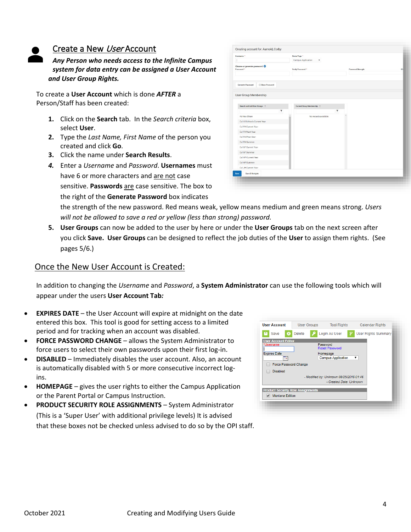

### <span id="page-3-0"></span>Create a New User Account

*Any Person who needs access to the Infinite Campus system for data entry can be assigned a User Account and User Group Rights.* 

To create a **User Account** which is done *AFTER* a Person/Staff has been created:

- **1.** Click on the **Search** tab. In the *Search criteria* box, select **User**.
- **2.** Type the *Last Name, First Name* of the person you created and click **Go**.
- **3.** Click the name under **Search Results**.
- *4.* Enter a *Username* and *Password*. **Usernames** must have 6 or more characters and are not case sensitive. **Passwords** are case sensitive. The box to the right of the **Generate Password** box indicates

| Username <sup>*</sup>                                 | Home Page *<br>Campus Application<br>۰. |                          |  |
|-------------------------------------------------------|-----------------------------------------|--------------------------|--|
| Choose or generate password:<br>Password <sup>*</sup> | Verify Password *                       | <b>Password Strength</b> |  |
| Generate Password<br><b>C Show Password</b>           |                                         |                          |  |
| User Group Membership<br>Search and Add User Groups 1 | Current Group Membership 1              |                          |  |
| $\overline{\mathbf{r}}$                               |                                         | $\mathbf{r}$             |  |
| Ad-Hoc-Share                                          | No records available.                   |                          |  |
| Cal All Schools Current Year                          |                                         |                          |  |
| Cal FH Current Year                                   |                                         |                          |  |
| Cal FH Next Year                                      |                                         |                          |  |
| Cal FH Prior Year<br>Cal FH Summer                    |                                         |                          |  |
| Cal GF Current Year                                   |                                         |                          |  |
| Cal GF Summer                                         |                                         |                          |  |
| Cal HP Current Year                                   |                                         |                          |  |
| Cal HP Summer                                         |                                         |                          |  |
| Cal JH Current Year                                   |                                         |                          |  |
|                                                       |                                         |                          |  |

the strength of the new password. Red means weak, yellow means medium and green means strong. *Users*  will not be allowed to save a red or yellow (less than strong) password.

**5. User Groups** can now be added to the user by here or under the **User Groups** tab on the next screen after you click **Save. User Groups** can be designed to reflect the job duties of the **User** to assign them rights. (See pages 5/6.)

### Once the New User Account is Created:

In addition to changing the *Username* and *Password*, a **System Administrator** can use the following tools which will appear under the users **User Account Tab***:*

- **EXPIRES DATE** the User Account will expire at midnight on the date entered this box. This tool is good for setting access to a limited period and for tracking when an account was disabled.
- **FORCE PASSWORD CHANGE** allows the System Administrator to force users to select their own passwords upon their first log-in.
- **DISABLED** Immediately disables the user account. Also, an account is automatically disabled with 5 or more consecutive incorrect logins.
- **HOMEPAGE** gives the user rights to either the Campus Application or the Parent Portal or Campus Instruction.
- **PRODUCT SECURITY ROLE ASSIGNMENTS** System Administrator (This is a 'Super User' with additional privilege levels) It is advised that these boxes not be checked unless advised to do so by the OPI staff.

| <b>User Account</b>                      |                    |                                         |                            |
|------------------------------------------|--------------------|-----------------------------------------|----------------------------|
|                                          | <b>User Groups</b> | <b>Tool Rights</b>                      | <b>Calendar Rights</b>     |
| P<br>Save                                | <b>Delete</b>      | Login As User                           | <b>User Rights Summary</b> |
| <b>User Account Editor</b>               |                    |                                         |                            |
| *Username                                |                    | Password<br><b>Reset Password</b>       |                            |
| <b>Expires Date</b>                      |                    | Homepage                                |                            |
|                                          |                    | <b>Campus Application</b>               | ▼                          |
| <b>Force Password Change</b>             |                    |                                         |                            |
| <b>Disabled</b>                          |                    |                                         |                            |
|                                          |                    | - Modified by: Unknown 08/25/2016 01:46 |                            |
|                                          |                    | - Created Date: Unknown                 |                            |
|                                          |                    |                                         |                            |
| <b>Product Security Role Assignments</b> |                    |                                         |                            |
| <b>Montana Edition</b>                   |                    |                                         |                            |
|                                          |                    |                                         |                            |
|                                          |                    |                                         |                            |
|                                          |                    |                                         |                            |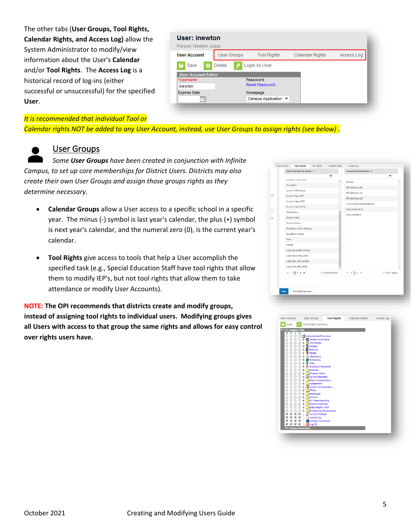The other tabs (**User Groups, Tool Rights, Calendar Rights, and Access Log)** allow the System Administrator to modify/view information about the User's **Calendar** and/or **Tool Rights**. The **Access Log** is a historical record of log-ins (either successful or unsuccessful) for the specified **User**.

| User: inewton<br>Person: Newton, Isaac |                    |                                   |                 |            |
|----------------------------------------|--------------------|-----------------------------------|-----------------|------------|
| <b>User Account</b>                    | <b>User Groups</b> | <b>Tool Rights</b>                | Calendar Rights | Access Log |
| Save<br>o<br>œ                         | <b>Delete</b>      | Login As User                     |                 |            |
| <b>User Account Editor</b>             |                    |                                   |                 |            |
| *Username                              |                    | Password<br><b>Reset Password</b> |                 |            |
| inewton                                |                    |                                   |                 |            |
| <b>Expires Date</b>                    |                    | Homepage                          |                 |            |
| P                                      |                    | Campus Application ▼              |                 |            |

#### *It is recommended that individual Tool or*

*Calendar rights NOT be added to any User Account, instead, use User Groups to assign rights (see below) .*



# <span id="page-4-0"></span>User Groups

*Some User Groups have been created in conjunction with Infinite Campus, to set up core memberships for District Users. Districts may also create their own User Groups and assign those groups rights as they determine necessary.*

- **Calendar Groups** allow a User access to a specific school in a specific year. The minus (-) symbol is last year's calendar, the plus (+) symbol is next year's calendar, and the numeral zero (0), is the current year's calendar.
- **Tool Rights** give access to tools that help a User accomplish the specified task (e.g., Special Education Staff have tool rights that allow them to modify IEP's, but not tool rights that allow them to take attendance or modify User Accounts).

**NOTE: The OPI recommends that districts create and modify groups, instead of assigning tool rights to individual users. Modifying groups gives all Users with access to that group the same rights and allows for easy control over rights users have.**

|      | Search and Add User Groups 1 |                    | Current Group Membership 1               |                  |
|------|------------------------------|--------------------|------------------------------------------|------------------|
|      |                              | ۳                  |                                          | ۳                |
|      | репатил напазурси            |                    | Ad Hoc                                   |                  |
|      | Counselor                    |                    | All Calendars HS                         |                  |
|      | Current All Schools          |                    | All Calendars.JH                         |                  |
|      | Current Year JHS             |                    | All Calendars.LM                         |                  |
|      | Current Year LDES            |                    | CampusAllCalsModifyRights                |                  |
|      | Current Year LDHS            |                    | Data Certification                       |                  |
|      | Data Miners                  |                    |                                          |                  |
|      | <b>District Clerk</b>        |                    | Data Validation                          |                  |
|      | <b>District NOtice</b>       |                    |                                          |                  |
|      | Enrollment Clerk - Backup    |                    |                                          |                  |
|      | <b>Enrollment Status</b>     |                    |                                          |                  |
|      | Fees                         |                    |                                          |                  |
|      | Health                       |                    |                                          |                  |
|      | Last Year LDHS_Modify        |                    |                                          |                  |
|      | Last Year LDHS_ROM           |                    |                                          |                  |
|      | Last Year, JHS Modify        |                    |                                          |                  |
|      | Last Year_JHS_ROM            |                    |                                          |                  |
|      | $H = 12 + H$                 | 1 - 25 of 49 items | $H = 4$ $\overline{1}$ $\rightarrow$ $H$ | 1 - 7 of 7 items |
|      |                              |                    |                                          |                  |
| Save | <b>User Rights Summary</b>   |                    |                                          |                  |

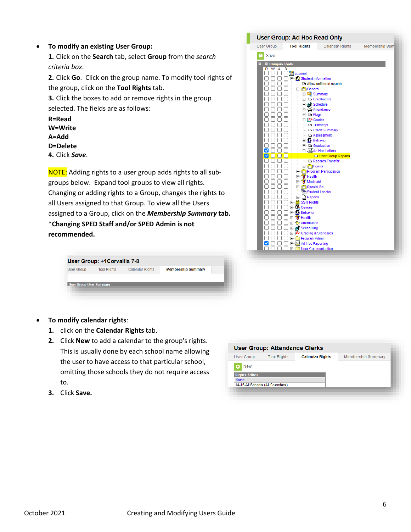#### • **To modify an existing User Group:**

**1.** Click on the **Search** tab, select **Group** from the *search criteria box*.

**2.** Click **Go**. Click on the group name. To modify tool rights of the group, click on the **Tool Rights** tab.

**3.** Click the boxes to add or remove rights in the group selected. The fields are as follows:

**R=Read W=Write A=Add D=Delete**

**4.** Click *Save*.

NOTE: Adding rights to a user group adds rights to all subgroups below. Expand tool groups to view all rights. Changing or adding rights to a Group, changes the rights to all Users assigned to that Group. To view all the Users assigned to a Group, click on the *Membership Summary* **tab.** \***Changing SPED Staff and/or SPED Admin is not recommended.**

| <b>User Group</b><br><b>Calendar Rights</b><br><b>Tool Rights</b> | <b>Membership Summary</b> |
|-------------------------------------------------------------------|---------------------------|
|                                                                   |                           |

| <b>User Group</b>                  | <b>Tool Rights</b>                                          | <b>Calendar Rights</b>          | Membership Sum |
|------------------------------------|-------------------------------------------------------------|---------------------------------|----------------|
| Save                               |                                                             |                                 |                |
| ÷<br>□ Campus Tools<br>R<br>w<br>А | D                                                           |                                 |                |
|                                    | d <sup>a</sup> account                                      |                                 |                |
|                                    | 白 Student Information                                       |                                 |                |
|                                    | <b>E Ceneral</b>                                            | Allow unfiltered search         |                |
|                                    | <b>E</b> Summary                                            |                                 |                |
|                                    | <b>Fi</b> <sup></sup> □ Enrollments                         |                                 |                |
|                                    | <b>E</b> all Schedule                                       |                                 |                |
|                                    | 日 21 Attendance<br><b>+ □ Flags</b>                         |                                 |                |
|                                    | <b>E</b> -A+ Grades                                         |                                 |                |
|                                    | $\Box$ Transcript                                           |                                 |                |
|                                    |                                                             | - Credit Summary                |                |
|                                    | El 2 Behavior                                               | Assessment                      |                |
|                                    | <b>E</b> Graduation                                         |                                 |                |
|                                    |                                                             | Ad Hoc Letters                  |                |
|                                    |                                                             | User Group Reports              |                |
|                                    | E <b>Fi</b> Forms                                           | Records Transfer                |                |
|                                    |                                                             | <b>E</b> -Program Participation |                |
|                                    | E 8 Health                                                  |                                 |                |
|                                    | E 8 Medicaid                                                |                                 |                |
|                                    | <b>E</b> Special Ed<br><b>TH</b> Student Locator            |                                 |                |
|                                    | <b>E</b> Reports                                            |                                 |                |
|                                    | ⊡ SSN Rights                                                |                                 |                |
|                                    | <b>⊟</b> © Census                                           |                                 |                |
|                                    | <b>El-Ax Behavior</b>                                       |                                 |                |
|                                    | <b>E</b> 8 Health<br>日 4 Attendance                         |                                 |                |
|                                    | <b>Ein All</b> Scheduling                                   |                                 |                |
|                                    | 日 A+ Grading & Standards                                    |                                 |                |
|                                    | <b>E</b> Program Admin                                      |                                 |                |
|                                    | <b>E</b> M Ad Hoc Reporting<br><b>El</b> User Communication |                                 |                |

- **To modify calendar rights**:
	- **1.** click on the **Calendar Rights** tab.
	- **2.** Click **New** to add a calendar to the group's rights. This is usually done by each school name allowing the user to have access to that particular school, omitting those schools they do not require access to.
	- **3.** Click **Save.**

**User Group: Attendance Clerks** User Group **Tool Rights Calendar Rights** Membership Summary  $\bigoplus$  New **Rights Editor** 14-15 All Schools (All Calendars)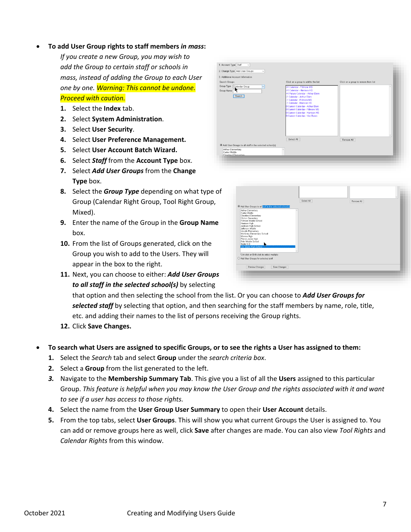#### • **To add User Group rights to staff members** *in mass***:**

*If you create a new Group, you may wish to add the Group to certain staff or schools in mass, instead of adding the Group to each User one by one. Warning: This cannot be undone. Proceed with caution.*

- **1.** Select the **Index** tab.
- **2.** Select **System Administration**.
- **3.** Select **User Security**.
- **4.** Select **User Preference Management.**
- **5.** Select **User Account Batch Wizard.**
- **6.** Select *Staff* from the **Account Type** box.
- **7.** Select *Add User Groups* from the **Change Type** box.
- **8.** Select the *Group Type* depending on what type of Group (Calendar Right Group, Tool Right Group, Mixed).
- **9.** Enter the name of the Group in the **Group Name** box.
- **10.** From the list of Groups generated, click on the Group you wish to add to the Users. They will appear in the box to the right.

| Click on a group to add to the list<br>+1 Calendar - Fillmore MS                                                                                                                                                                                                                                                        | Click on a group to remove from list |  |
|-------------------------------------------------------------------------------------------------------------------------------------------------------------------------------------------------------------------------------------------------------------------------------------------------------------------------|--------------------------------------|--|
|                                                                                                                                                                                                                                                                                                                         |                                      |  |
| +1 Calendar - Harrison HS<br>+1 Future Calendar - Arthur Elem<br>-1 Calendar - Arthur Elem<br>-1 Calendar - Fillmore MS<br>-1 Calendar - Harrison HS<br><b>Q Current Calendar - Arthur Elem</b><br><b>O Current Calendar - Fillmore MS</b><br><b>O Current Calendar - Harrison HS</b><br>0 Current Calendar - Van Buren |                                      |  |
|                                                                                                                                                                                                                                                                                                                         |                                      |  |
| Select All                                                                                                                                                                                                                                                                                                              | Remove All                           |  |
| Add User Groups to all staff in the selected school(s)                                                                                                                                                                                                                                                                  |                                      |  |
|                                                                                                                                                                                                                                                                                                                         |                                      |  |
|                                                                                                                                                                                                                                                                                                                         |                                      |  |

|                                                        | Select All | Remove All |  |
|--------------------------------------------------------|------------|------------|--|
| Add User Groups to all staff in the selected school(s) |            |            |  |
| Arthur Elementary<br>Carter Middle                     |            |            |  |
| Cleveland Elementary<br>Clinton Secondary              |            |            |  |
| Fillmore Middle School                                 |            |            |  |
| Harrison High<br>Jackson High School                   |            |            |  |
| Jefferson Middle<br>Lincoln Elementary                 |            |            |  |
| McKinley Elementary School<br>Monroe High              |            |            |  |
| Pierce Junior High                                     |            |            |  |
| Polk Middle School<br>Taylor K-B<br>к                  |            |            |  |
| Van Buren High School                                  |            |            |  |
| *Ctrl-click or Shift-click to select multiple          |            |            |  |
| O Add User Groups for selected staff                   |            |            |  |
|                                                        |            |            |  |
| Save Changes<br>Preview Changes                        |            |            |  |
|                                                        |            |            |  |

**11.** Next, you can choose to either: *Add User Groups to all staff in the selected school(s)* by selecting

that option and then selecting the school from the list. Or you can choose to *Add User Groups for selected staff* by selecting that option, and then searching for the staff members by name, role, title, etc. and adding their names to the list of persons receiving the Group rights.

**12.** Click **Save Changes.**

#### • **To search what Users are assigned to specific Groups, or to see the rights a User has assigned to them:**

- **1.** Select the *Search* tab and select **Group** under the *search criteria box*.
- **2.** Select a **Group** from the list generated to the left.
- *3.* Navigate to the **Membership Summary Tab**. This give you a list of all the **Users** assigned to this particular Group. *This feature is helpful when you may know the User Group and the rights associated with it and want to see if a user has access to those rights.*
- **4.** Select the name from the **User Group User Summary** to open their **User Account** details.
- **5.** From the top tabs, select **User Groups**. This will show you what current Groups the User is assigned to. You can add or remove groups here as well, click **Save** after changes are made. You can also view *Tool Rights* and *Calendar Rights* from this window.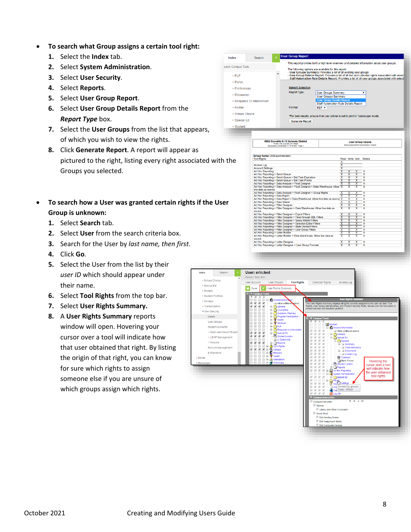- **To search what Group assigns a certain tool right:**
	- **1.** Select the **Index** tab.
	- **2.** Select **System Administration**.
	- **3.** Select **User Security**.
	- **4.** Select **Reports**.
	- **5.** Select **User Group Report**.
	- **6.** Select **User Group Details Report** from the *Report Type* box.
	- **7.** Select the **User Groups** from the list that appears, of which you wish to view the rights.
	- **8.** Click **Generate Report**. A report will appear as pictured to the right, listing every right associated with the Groups you selected.

arch (

- **To search how a User was granted certain rights if the User Group is unknown:**
	- **1.** Select **Search** tab.
	- **2.** Select **User** from the search criteria box.
	- **3.** Search for the User by *last name, then first*.
	- **4.** Click **Go**.
	- **5.** Select the User from the list by their *user ID* which should appear under their name.
	- **6.** Select **Tool Rights** from the top bar.
	- **7.** Select **User Rights Summary.**
	- **8.** A **User Rights Summary** reports window will open. Hovering your cursor over a tool will indicate how that user obtained that right. By listing the origin of that right, you can know for sure which rights to assign someone else if you are unsure of which groups assign which rights.

| ch Campus Tools<br>$\triangleright$ PLP<br>$\triangleright$ Portal<br><b>&gt; Preferences</b><br><b>ERASOUTCAS</b><br>▶ Response to Intervention<br>$\triangleright$ Roster<br>▶ School Choice<br>▶ Special Ed<br>$\triangleright$ Student<br>he- | <b>Group Name: DOSuperintendent</b><br><b>Tool Rights</b>              | The following options are available for this report:<br>- User Groups Summary: Provides a list of all existing user groups<br><b>Report Selection</b><br>Report Type:<br>Format:<br>*For best results, ensure that your printer is set to print in 'landscape' mode.<br><b>Generate Report</b><br>0822 Corvallis K-12 Schools District<br>PO Box 700, Corvalis, MT 59828<br>Generated on 03/02/2020 11:17:44 AM Page 1 | <b>User Groups Summary</b><br><b>User Groups Summary</b><br><b>User Group Details Report</b><br><b>Staff Automation Rule Details Report</b><br>PDF v |                                                    |                                                    |                              | This report provides both a high level overview and detailed information about user groups.<br>- User Group Details Report: Provides a list of all tool and calendar rights associated with select<br>- Staff Automation Rule Details Report: Provides a list of all user groups associated with select<br>▼<br><b>User Group Details</b><br>Report generated for Administrator, System |  |
|---------------------------------------------------------------------------------------------------------------------------------------------------------------------------------------------------------------------------------------------------|------------------------------------------------------------------------|------------------------------------------------------------------------------------------------------------------------------------------------------------------------------------------------------------------------------------------------------------------------------------------------------------------------------------------------------------------------------------------------------------------------|------------------------------------------------------------------------------------------------------------------------------------------------------|----------------------------------------------------|----------------------------------------------------|------------------------------|-----------------------------------------------------------------------------------------------------------------------------------------------------------------------------------------------------------------------------------------------------------------------------------------------------------------------------------------------------------------------------------------|--|
|                                                                                                                                                                                                                                                   |                                                                        |                                                                                                                                                                                                                                                                                                                                                                                                                        |                                                                                                                                                      |                                                    |                                                    |                              |                                                                                                                                                                                                                                                                                                                                                                                         |  |
|                                                                                                                                                                                                                                                   |                                                                        |                                                                                                                                                                                                                                                                                                                                                                                                                        |                                                                                                                                                      |                                                    |                                                    |                              |                                                                                                                                                                                                                                                                                                                                                                                         |  |
|                                                                                                                                                                                                                                                   |                                                                        |                                                                                                                                                                                                                                                                                                                                                                                                                        |                                                                                                                                                      |                                                    |                                                    |                              |                                                                                                                                                                                                                                                                                                                                                                                         |  |
|                                                                                                                                                                                                                                                   |                                                                        |                                                                                                                                                                                                                                                                                                                                                                                                                        |                                                                                                                                                      |                                                    |                                                    |                              |                                                                                                                                                                                                                                                                                                                                                                                         |  |
|                                                                                                                                                                                                                                                   |                                                                        |                                                                                                                                                                                                                                                                                                                                                                                                                        |                                                                                                                                                      |                                                    |                                                    |                              |                                                                                                                                                                                                                                                                                                                                                                                         |  |
|                                                                                                                                                                                                                                                   |                                                                        |                                                                                                                                                                                                                                                                                                                                                                                                                        |                                                                                                                                                      |                                                    |                                                    |                              |                                                                                                                                                                                                                                                                                                                                                                                         |  |
|                                                                                                                                                                                                                                                   |                                                                        |                                                                                                                                                                                                                                                                                                                                                                                                                        |                                                                                                                                                      |                                                    |                                                    |                              |                                                                                                                                                                                                                                                                                                                                                                                         |  |
|                                                                                                                                                                                                                                                   |                                                                        |                                                                                                                                                                                                                                                                                                                                                                                                                        |                                                                                                                                                      |                                                    |                                                    |                              |                                                                                                                                                                                                                                                                                                                                                                                         |  |
|                                                                                                                                                                                                                                                   |                                                                        |                                                                                                                                                                                                                                                                                                                                                                                                                        |                                                                                                                                                      |                                                    |                                                    |                              |                                                                                                                                                                                                                                                                                                                                                                                         |  |
|                                                                                                                                                                                                                                                   |                                                                        |                                                                                                                                                                                                                                                                                                                                                                                                                        |                                                                                                                                                      |                                                    |                                                    |                              |                                                                                                                                                                                                                                                                                                                                                                                         |  |
|                                                                                                                                                                                                                                                   |                                                                        |                                                                                                                                                                                                                                                                                                                                                                                                                        |                                                                                                                                                      |                                                    |                                                    |                              |                                                                                                                                                                                                                                                                                                                                                                                         |  |
|                                                                                                                                                                                                                                                   |                                                                        |                                                                                                                                                                                                                                                                                                                                                                                                                        |                                                                                                                                                      |                                                    |                                                    |                              |                                                                                                                                                                                                                                                                                                                                                                                         |  |
|                                                                                                                                                                                                                                                   |                                                                        |                                                                                                                                                                                                                                                                                                                                                                                                                        |                                                                                                                                                      |                                                    |                                                    |                              | Read Write Add Delete                                                                                                                                                                                                                                                                                                                                                                   |  |
|                                                                                                                                                                                                                                                   |                                                                        |                                                                                                                                                                                                                                                                                                                                                                                                                        |                                                                                                                                                      | x                                                  |                                                    |                              |                                                                                                                                                                                                                                                                                                                                                                                         |  |
|                                                                                                                                                                                                                                                   | <b>Access Log</b><br><b>Account Settings</b>                           |                                                                                                                                                                                                                                                                                                                                                                                                                        |                                                                                                                                                      | $\overline{\mathbf{x}}$<br>$\overline{\mathbf{x}}$ |                                                    |                              |                                                                                                                                                                                                                                                                                                                                                                                         |  |
|                                                                                                                                                                                                                                                   | <b>Ad Hoc Reporting</b>                                                |                                                                                                                                                                                                                                                                                                                                                                                                                        |                                                                                                                                                      | $\overline{\mathbf{x}}$                            | x                                                  | $\overline{\mathsf{x}}$      | x                                                                                                                                                                                                                                                                                                                                                                                       |  |
|                                                                                                                                                                                                                                                   | Ad Hoc Reporting > Batch Queue                                         |                                                                                                                                                                                                                                                                                                                                                                                                                        |                                                                                                                                                      | $\overline{\mathsf{x}}$                            | $\overline{\mathbf{x}}$                            | x                            | $\overline{\mathbf{x}}$                                                                                                                                                                                                                                                                                                                                                                 |  |
|                                                                                                                                                                                                                                                   |                                                                        | Ad Hoc Reporting > Batch Queue > Set Task Expiration                                                                                                                                                                                                                                                                                                                                                                   |                                                                                                                                                      | $\overline{\mathbf{x}}$                            | $\overline{\mathbf{x}}$                            | $\overline{\mathbf{x}}$      | $\overline{\mathbf{x}}$                                                                                                                                                                                                                                                                                                                                                                 |  |
|                                                                                                                                                                                                                                                   |                                                                        | Ad Hoc Reporting > Batch Queue > Set Task Priority                                                                                                                                                                                                                                                                                                                                                                     |                                                                                                                                                      | x                                                  | x                                                  | x                            | x                                                                                                                                                                                                                                                                                                                                                                                       |  |
|                                                                                                                                                                                                                                                   |                                                                        | Ad Hoc Reporting > Data Analysis > Pivot Designer<br>Ad Hoc Reporting > Data Analysis > Pivot Designer > Data Warehouse: Allow X                                                                                                                                                                                                                                                                                       |                                                                                                                                                      | $\overline{\mathsf{x}}$                            | $\overline{\mathsf{x}}$<br>$\overline{\mathbf{x}}$ | x<br>$\overline{\mathbf{x}}$ | $\overline{\mathbf{x}}$<br>$\overline{\mathbf{x}}$                                                                                                                                                                                                                                                                                                                                      |  |
|                                                                                                                                                                                                                                                   | live data as source                                                    |                                                                                                                                                                                                                                                                                                                                                                                                                        |                                                                                                                                                      |                                                    |                                                    |                              |                                                                                                                                                                                                                                                                                                                                                                                         |  |
|                                                                                                                                                                                                                                                   |                                                                        | Ad Hoc Reporting > Data Analysis > Pivot Designer > Group Rights                                                                                                                                                                                                                                                                                                                                                       |                                                                                                                                                      | $\overline{\mathbf{x}}$                            | x                                                  | $\overline{\mathsf{x}}$      | $\overline{\mathbf{x}}$                                                                                                                                                                                                                                                                                                                                                                 |  |
|                                                                                                                                                                                                                                                   | Ad Hoc Reporting > Data Export                                         |                                                                                                                                                                                                                                                                                                                                                                                                                        |                                                                                                                                                      | X                                                  | x                                                  | x                            | $\overline{\mathbf{x}}$                                                                                                                                                                                                                                                                                                                                                                 |  |
|                                                                                                                                                                                                                                                   |                                                                        | Ad Hoc Reporting > Data Export > Data Warehouse: Allow live data as source X                                                                                                                                                                                                                                                                                                                                           |                                                                                                                                                      |                                                    | $\overline{\mathbf{x}}$                            | $\overline{\mathbf{x}}$      | $\overline{\mathbf{x}}$                                                                                                                                                                                                                                                                                                                                                                 |  |
|                                                                                                                                                                                                                                                   | Ad Hoc Reporting > Data Viewer                                         |                                                                                                                                                                                                                                                                                                                                                                                                                        |                                                                                                                                                      | ×                                                  | $\overline{\mathbf{x}}$                            | $\overline{\mathbf{x}}$      | $\overline{\mathbf{x}}$                                                                                                                                                                                                                                                                                                                                                                 |  |
|                                                                                                                                                                                                                                                   | Ad Hoc Reporting > Filter Designer                                     | Ad Hoc Reporting > Filter Designer > Data Warehouse: Allow live data as                                                                                                                                                                                                                                                                                                                                                |                                                                                                                                                      | $\overline{\mathbf{x}}$<br>$\overline{\mathbf{x}}$ | $\overline{\mathbf{x}}$<br>$\overline{\mathbf{x}}$ | x<br>$\overline{\mathbf{x}}$ | $\overline{\mathbf{x}}$<br>$\overline{\mathbf{x}}$                                                                                                                                                                                                                                                                                                                                      |  |
| source                                                                                                                                                                                                                                            |                                                                        |                                                                                                                                                                                                                                                                                                                                                                                                                        |                                                                                                                                                      |                                                    |                                                    |                              |                                                                                                                                                                                                                                                                                                                                                                                         |  |
|                                                                                                                                                                                                                                                   |                                                                        | Ad Hoc Reporting > Filter Designer > Export Filters                                                                                                                                                                                                                                                                                                                                                                    |                                                                                                                                                      | $\overline{\mathbf{x}}$                            | $\overline{\mathsf{x}}$                            | $\overline{\mathsf{x}}$      | $\overline{\mathbf{x}}$                                                                                                                                                                                                                                                                                                                                                                 |  |
|                                                                                                                                                                                                                                                   |                                                                        | Ad Hoc Reporting > Filter Designer > Pass-through SQL Filters                                                                                                                                                                                                                                                                                                                                                          |                                                                                                                                                      | X                                                  | x                                                  | x                            | $\overline{\mathbf{x}}$                                                                                                                                                                                                                                                                                                                                                                 |  |
|                                                                                                                                                                                                                                                   |                                                                        | Ad Hoc Reporting > Filter Designer > Query Wizard Filters                                                                                                                                                                                                                                                                                                                                                              |                                                                                                                                                      | $\overline{\mathbf{x}}$                            | $\overline{\mathbf{x}}$                            | $\overline{\mathbf{x}}$      | $\overline{\mathbf{x}}$                                                                                                                                                                                                                                                                                                                                                                 |  |
|                                                                                                                                                                                                                                                   |                                                                        | Ad Hoc Reporting > Filter Designer > Selection Editor Filters                                                                                                                                                                                                                                                                                                                                                          |                                                                                                                                                      | $\overline{\mathbf{x}}$<br>$\overline{\mathbf{x}}$ | $\overline{\mathbf{x}}$                            | x                            | $\overline{\mathbf{x}}$<br>$\mathbf x$                                                                                                                                                                                                                                                                                                                                                  |  |
|                                                                                                                                                                                                                                                   |                                                                        | Ad Hoc Reporting > Filter Designer > State Owned Filters                                                                                                                                                                                                                                                                                                                                                               |                                                                                                                                                      | $\overline{\mathbf{x}}$                            | $\overline{\mathbf{x}}$<br>$\overline{\mathbf{x}}$ | x<br>$\overline{\mathbf{x}}$ | $\overline{\mathbf{x}}$                                                                                                                                                                                                                                                                                                                                                                 |  |
|                                                                                                                                                                                                                                                   | Ad Hoc Reporting > Letter Builder                                      | Ad Hoc Reporting > Filter Designer > User Group Filters                                                                                                                                                                                                                                                                                                                                                                |                                                                                                                                                      | x                                                  | x                                                  | x                            | x                                                                                                                                                                                                                                                                                                                                                                                       |  |
|                                                                                                                                                                                                                                                   |                                                                        |                                                                                                                                                                                                                                                                                                                                                                                                                        |                                                                                                                                                      | $\overline{\mathbf{x}}$                            | $\overline{\mathsf{x}}$                            | x                            | $\overline{\mathbf{x}}$                                                                                                                                                                                                                                                                                                                                                                 |  |
| source                                                                                                                                                                                                                                            | Ad Hoc Reporting > Letter Builder > Data Warehouse: Allow live data as |                                                                                                                                                                                                                                                                                                                                                                                                                        |                                                                                                                                                      |                                                    |                                                    |                              |                                                                                                                                                                                                                                                                                                                                                                                         |  |
| Ad Hoc Reporting > Letter Designer<br>Ad Hoc Reporting > Letter Designer > User Group Formats                                                                                                                                                     |                                                                        |                                                                                                                                                                                                                                                                                                                                                                                                                        |                                                                                                                                                      | $\overline{\mathbf{x}}$                            | x                                                  | ×                            | $\overline{\mathbf{x}}$                                                                                                                                                                                                                                                                                                                                                                 |  |

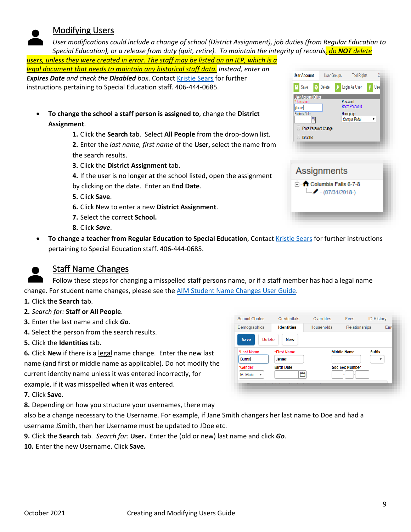# <span id="page-8-0"></span>Modifying Users

*User modifications could include a change of school (District Assignment), job duties (from Regular Education to Special Education), or a release from duty (quit, retire). To maintain the integrity of records, do NOT delete* 

*users, unless they were created in error. The staff may be listed on an IEP, which is a legal document that needs to maintain any historical staff data. Instead, enter an Expires Date and check the Disabled box*. Contac[t Kristie Sears](mailto:kristie.sears@mt.gov) for further instructions pertaining to Special Education staff. 406-444-0685.

- **To change the school a staff person is assigned to**, change the **District Assignment**.
	- **1.** Click the **Search** tab. Select **All People** from the drop-down list.

**2.** Enter the *last name, first name* of the **User,** select the name from the search results.

**3.** Click the **District Assignment** tab.

**4.** If the user is no longer at the school listed, open the assignment by clicking on the date. Enter an **End Date**.

**5.** Click **Save**.

- **6.** Click New to enter a new **District Assignment**.
- **7.** Select the correct **School.**
- **8.** Click *Save*.
- **To change a teacher from Regular Education to Special Education**, Contact [Kristie Sears](mailto:kristie.sears@mt.gov) for further instructions pertaining to Special Education staff. 406-444-0685.

# <span id="page-8-1"></span>Staff Name Changes

Follow these steps for changing a misspelled staff persons name, or if a staff member has had a legal name change. For student name changes, please see the [AIM Student Name Changes User Guide.](https://opi.mt.gov/Portals/182/Page%20Files/AIM/2%20AIM%20USER%20GUIDES/User%20Guides%20by%20Topic/Enrollment/NameChanges.pdf)

**1.** Click the **Search** tab.

- **2.** *Search for:* **Staff or All People**.
- **3.** Enter the last name and click *Go*.
- **4.** Select the person from the search results.
- **5.** Click the **Identities** tab.

**6.** Click **New** if there is a legal name change. Enter the new last name (and first or middle name as applicable). Do not modify the current identity name unless it was entered incorrectly, for example, if it was misspelled when it was entered.

**7.** Click **Save**.

**8.** Depending on how you structure your usernames, there may

also be a change necessary to the Username. For example, if Jane Smith changers her last name to Doe and had a username JSmith, then her Username must be updated to JDoe etc.

- **9.** Click the **Search** tab. *Search for:* **User.** Enter the (old or new) last name and click *Go*.
- **10.** Enter the new Username. Click **Save***.*



| <b>User Account</b>        | <b>User Groups</b> | <b>Tool Rights</b>    |      |
|----------------------------|--------------------|-----------------------|------|
| Save<br>X)                 | Delete             | Login As User         | User |
| <b>User Account Editor</b> |                    |                       |      |
| *Username                  |                    | Password              |      |
| i.burns                    |                    | <b>Reset Password</b> |      |
| <b>Expires Date</b>        |                    | Homepage              |      |
|                            |                    | <b>Campus Portal</b>  |      |
| Force Password Change      |                    |                       |      |
| <b>Disabled</b>            |                    |                       |      |